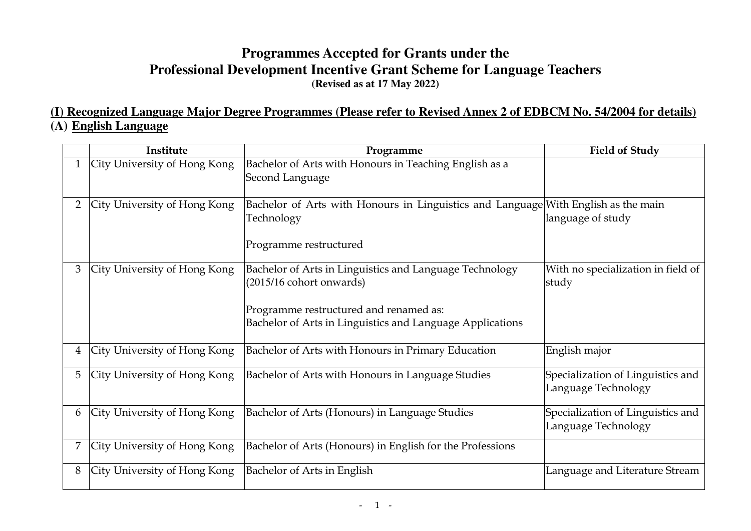# **Programmes Accepted for Grants under the Professional Development Incentive Grant Scheme for Language Teachers (Revised as at 17 May 2022)**

## **(I) Recognized Language Major Degree Programmes (Please refer to Revised Annex 2 of EDBCM No. 54/2004 for details) (A) English Language**

|   | Institute                    | Programme                                                                                                                                                                                    | <b>Field of Study</b>                                    |
|---|------------------------------|----------------------------------------------------------------------------------------------------------------------------------------------------------------------------------------------|----------------------------------------------------------|
|   | City University of Hong Kong | Bachelor of Arts with Honours in Teaching English as a<br>Second Language                                                                                                                    |                                                          |
| 2 | City University of Hong Kong | Bachelor of Arts with Honours in Linguistics and Language With English as the main<br>Technology<br>Programme restructured                                                                   | language of study                                        |
| 3 | City University of Hong Kong | Bachelor of Arts in Linguistics and Language Technology<br>$(2015/16$ cohort onwards)<br>Programme restructured and renamed as:<br>Bachelor of Arts in Linguistics and Language Applications | With no specialization in field of<br>study              |
| 4 | City University of Hong Kong | Bachelor of Arts with Honours in Primary Education                                                                                                                                           | English major                                            |
| 5 | City University of Hong Kong | Bachelor of Arts with Honours in Language Studies                                                                                                                                            | Specialization of Linguistics and<br>Language Technology |
| 6 | City University of Hong Kong | Bachelor of Arts (Honours) in Language Studies                                                                                                                                               | Specialization of Linguistics and<br>Language Technology |
|   | City University of Hong Kong | Bachelor of Arts (Honours) in English for the Professions                                                                                                                                    |                                                          |
| 8 | City University of Hong Kong | Bachelor of Arts in English                                                                                                                                                                  | Language and Literature Stream                           |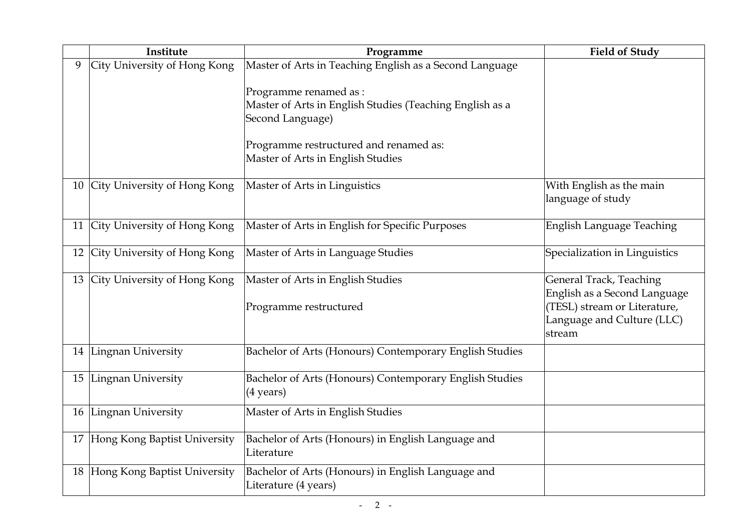|   | Institute                       | Programme                                                                                                                                                         | <b>Field of Study</b>                                                                                                                  |
|---|---------------------------------|-------------------------------------------------------------------------------------------------------------------------------------------------------------------|----------------------------------------------------------------------------------------------------------------------------------------|
| 9 | City University of Hong Kong    | Master of Arts in Teaching English as a Second Language<br>Programme renamed as :<br>Master of Arts in English Studies (Teaching English as a<br>Second Language) |                                                                                                                                        |
|   |                                 | Programme restructured and renamed as:<br>Master of Arts in English Studies                                                                                       |                                                                                                                                        |
|   | 10 City University of Hong Kong | Master of Arts in Linguistics                                                                                                                                     | With English as the main<br>language of study                                                                                          |
|   | 11 City University of Hong Kong | Master of Arts in English for Specific Purposes                                                                                                                   | <b>English Language Teaching</b>                                                                                                       |
|   | 12 City University of Hong Kong | Master of Arts in Language Studies                                                                                                                                | Specialization in Linguistics                                                                                                          |
|   | 13 City University of Hong Kong | Master of Arts in English Studies<br>Programme restructured                                                                                                       | <b>General Track, Teaching</b><br>English as a Second Language<br>(TESL) stream or Literature,<br>Language and Culture (LLC)<br>stream |
|   | 14 Lingnan University           | Bachelor of Arts (Honours) Contemporary English Studies                                                                                                           |                                                                                                                                        |
|   | 15 Lingnan University           | Bachelor of Arts (Honours) Contemporary English Studies<br>$(4 \text{ years})$                                                                                    |                                                                                                                                        |
|   | 16 Lingnan University           | Master of Arts in English Studies                                                                                                                                 |                                                                                                                                        |
|   | 17 Hong Kong Baptist University | Bachelor of Arts (Honours) in English Language and<br>Literature                                                                                                  |                                                                                                                                        |
|   | 18 Hong Kong Baptist University | Bachelor of Arts (Honours) in English Language and<br>Literature (4 years)                                                                                        |                                                                                                                                        |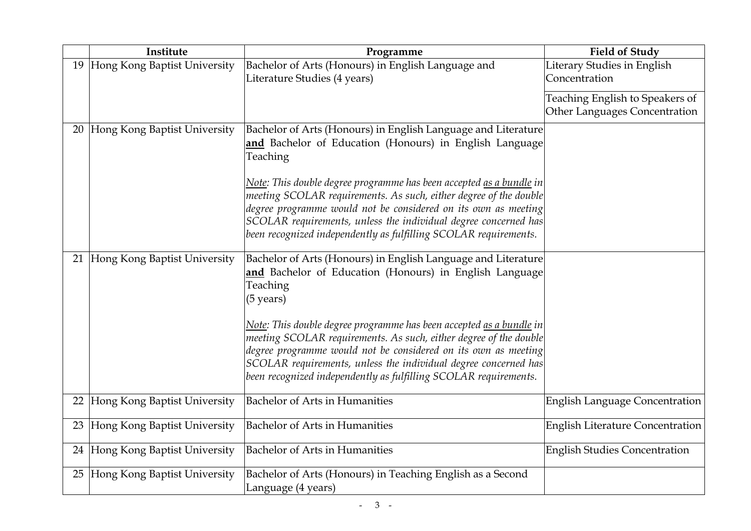|    | Institute                       | Programme                                                                                                                                       | <b>Field of Study</b>                   |
|----|---------------------------------|-------------------------------------------------------------------------------------------------------------------------------------------------|-----------------------------------------|
|    | 19 Hong Kong Baptist University | Bachelor of Arts (Honours) in English Language and                                                                                              | Literary Studies in English             |
|    |                                 | Literature Studies (4 years)                                                                                                                    | Concentration                           |
|    |                                 |                                                                                                                                                 | Teaching English to Speakers of         |
|    |                                 |                                                                                                                                                 | Other Languages Concentration           |
|    |                                 |                                                                                                                                                 |                                         |
| 20 | Hong Kong Baptist University    | Bachelor of Arts (Honours) in English Language and Literature                                                                                   |                                         |
|    |                                 | and Bachelor of Education (Honours) in English Language                                                                                         |                                         |
|    |                                 | Teaching                                                                                                                                        |                                         |
|    |                                 | Note: This double degree programme has been accepted <u>as a bundle</u> in                                                                      |                                         |
|    |                                 | meeting SCOLAR requirements. As such, either degree of the double                                                                               |                                         |
|    |                                 | degree programme would not be considered on its own as meeting                                                                                  |                                         |
|    |                                 | SCOLAR requirements, unless the individual degree concerned has                                                                                 |                                         |
|    |                                 | been recognized independently as fulfilling SCOLAR requirements.                                                                                |                                         |
|    |                                 |                                                                                                                                                 |                                         |
|    | 21 Hong Kong Baptist University | Bachelor of Arts (Honours) in English Language and Literature                                                                                   |                                         |
|    |                                 | and Bachelor of Education (Honours) in English Language                                                                                         |                                         |
|    |                                 | Teaching                                                                                                                                        |                                         |
|    |                                 | $(5 \text{ years})$                                                                                                                             |                                         |
|    |                                 |                                                                                                                                                 |                                         |
|    |                                 | Note: This double degree programme has been accepted <u>as a bundle</u> in<br>meeting SCOLAR requirements. As such, either degree of the double |                                         |
|    |                                 | degree programme would not be considered on its own as meeting                                                                                  |                                         |
|    |                                 | SCOLAR requirements, unless the individual degree concerned has                                                                                 |                                         |
|    |                                 | been recognized independently as fulfilling SCOLAR requirements.                                                                                |                                         |
|    |                                 |                                                                                                                                                 |                                         |
| 22 | Hong Kong Baptist University    | <b>Bachelor of Arts in Humanities</b>                                                                                                           | <b>English Language Concentration</b>   |
|    |                                 |                                                                                                                                                 |                                         |
| 23 | Hong Kong Baptist University    | <b>Bachelor of Arts in Humanities</b>                                                                                                           | <b>English Literature Concentration</b> |
|    | 24 Hong Kong Baptist University | <b>Bachelor of Arts in Humanities</b>                                                                                                           | <b>English Studies Concentration</b>    |
|    |                                 |                                                                                                                                                 |                                         |
|    | 25 Hong Kong Baptist University | Bachelor of Arts (Honours) in Teaching English as a Second                                                                                      |                                         |
|    |                                 | Language (4 years)                                                                                                                              |                                         |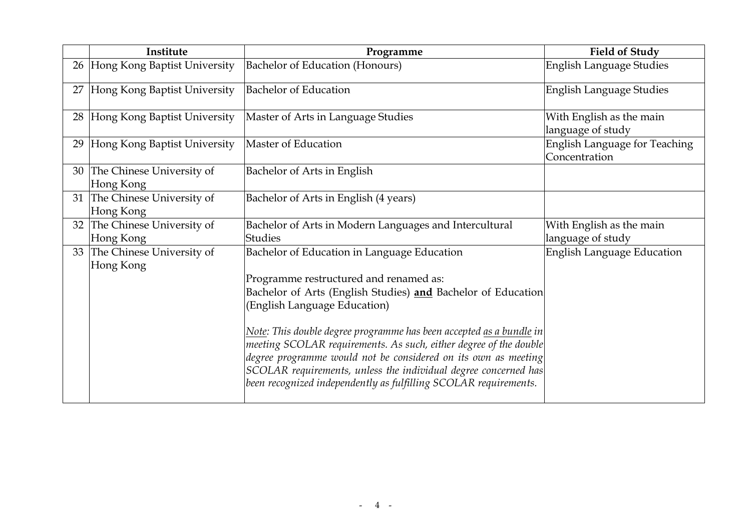|    | Institute                                 | Programme                                                                                                                                                                                                                                                                                                                                                                                                                                                                                                                                         | <b>Field of Study</b>                                 |
|----|-------------------------------------------|---------------------------------------------------------------------------------------------------------------------------------------------------------------------------------------------------------------------------------------------------------------------------------------------------------------------------------------------------------------------------------------------------------------------------------------------------------------------------------------------------------------------------------------------------|-------------------------------------------------------|
|    | 26 Hong Kong Baptist University           | Bachelor of Education (Honours)                                                                                                                                                                                                                                                                                                                                                                                                                                                                                                                   | English Language Studies                              |
| 27 | Hong Kong Baptist University              | <b>Bachelor of Education</b>                                                                                                                                                                                                                                                                                                                                                                                                                                                                                                                      | English Language Studies                              |
|    | 28 Hong Kong Baptist University           | Master of Arts in Language Studies                                                                                                                                                                                                                                                                                                                                                                                                                                                                                                                | With English as the main<br>language of study         |
|    | 29 Hong Kong Baptist University           | Master of Education                                                                                                                                                                                                                                                                                                                                                                                                                                                                                                                               | <b>English Language for Teaching</b><br>Concentration |
|    | 30 The Chinese University of<br>Hong Kong | Bachelor of Arts in English                                                                                                                                                                                                                                                                                                                                                                                                                                                                                                                       |                                                       |
|    | 31 The Chinese University of<br>Hong Kong | Bachelor of Arts in English (4 years)                                                                                                                                                                                                                                                                                                                                                                                                                                                                                                             |                                                       |
|    | 32 The Chinese University of<br>Hong Kong | Bachelor of Arts in Modern Languages and Intercultural<br>Studies                                                                                                                                                                                                                                                                                                                                                                                                                                                                                 | With English as the main<br>language of study         |
|    | 33 The Chinese University of<br>Hong Kong | Bachelor of Education in Language Education<br>Programme restructured and renamed as:<br>Bachelor of Arts (English Studies) and Bachelor of Education<br>(English Language Education)<br>Note: This double degree programme has been accepted <u>as a bundle</u> in<br>meeting SCOLAR requirements. As such, either degree of the double<br>degree programme would not be considered on its own as meeting<br>SCOLAR requirements, unless the individual degree concerned has<br>been recognized independently as fulfilling SCOLAR requirements. | <b>English Language Education</b>                     |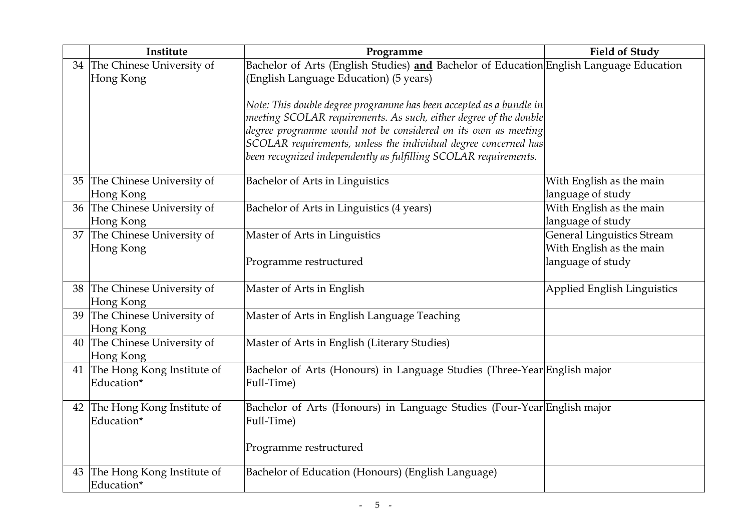|    | Institute                                   | Programme                                                                                                                           | <b>Field of Study</b>             |
|----|---------------------------------------------|-------------------------------------------------------------------------------------------------------------------------------------|-----------------------------------|
|    | 34 The Chinese University of                | Bachelor of Arts (English Studies) and Bachelor of Education English Language Education                                             |                                   |
|    | Hong Kong                                   | (English Language Education) (5 years)                                                                                              |                                   |
|    |                                             |                                                                                                                                     |                                   |
|    |                                             | <u>Note</u> : This double degree programme has been accepted <u>as a bundle</u> in                                                  |                                   |
|    |                                             | meeting SCOLAR requirements. As such, either degree of the double                                                                   |                                   |
|    |                                             | degree programme would not be considered on its own as meeting                                                                      |                                   |
|    |                                             | SCOLAR requirements, unless the individual degree concerned has<br>been recognized independently as fulfilling SCOLAR requirements. |                                   |
|    |                                             |                                                                                                                                     |                                   |
|    | 35 The Chinese University of                | Bachelor of Arts in Linguistics                                                                                                     | With English as the main          |
|    | Hong Kong                                   |                                                                                                                                     | language of study                 |
|    | 36 The Chinese University of                | Bachelor of Arts in Linguistics (4 years)                                                                                           | With English as the main          |
|    | Hong Kong                                   |                                                                                                                                     | language of study                 |
|    | 37 The Chinese University of                | Master of Arts in Linguistics                                                                                                       | <b>General Linguistics Stream</b> |
|    | Hong Kong                                   |                                                                                                                                     | With English as the main          |
|    |                                             | Programme restructured                                                                                                              | language of study                 |
|    |                                             |                                                                                                                                     |                                   |
|    | 38 The Chinese University of                | Master of Arts in English                                                                                                           | Applied English Linguistics       |
|    | Hong Kong                                   |                                                                                                                                     |                                   |
| 39 | The Chinese University of                   | Master of Arts in English Language Teaching                                                                                         |                                   |
|    | Hong Kong                                   |                                                                                                                                     |                                   |
|    | 40 The Chinese University of                | Master of Arts in English (Literary Studies)                                                                                        |                                   |
|    | Hong Kong                                   |                                                                                                                                     |                                   |
|    | 41 The Hong Kong Institute of<br>Education* | Bachelor of Arts (Honours) in Language Studies (Three-Year English major                                                            |                                   |
|    |                                             | Full-Time)                                                                                                                          |                                   |
|    | 42 The Hong Kong Institute of               | Bachelor of Arts (Honours) in Language Studies (Four-Year English major                                                             |                                   |
|    | Education*                                  | Full-Time)                                                                                                                          |                                   |
|    |                                             |                                                                                                                                     |                                   |
|    |                                             | Programme restructured                                                                                                              |                                   |
|    |                                             |                                                                                                                                     |                                   |
| 43 | The Hong Kong Institute of                  | Bachelor of Education (Honours) (English Language)                                                                                  |                                   |
|    | Education*                                  |                                                                                                                                     |                                   |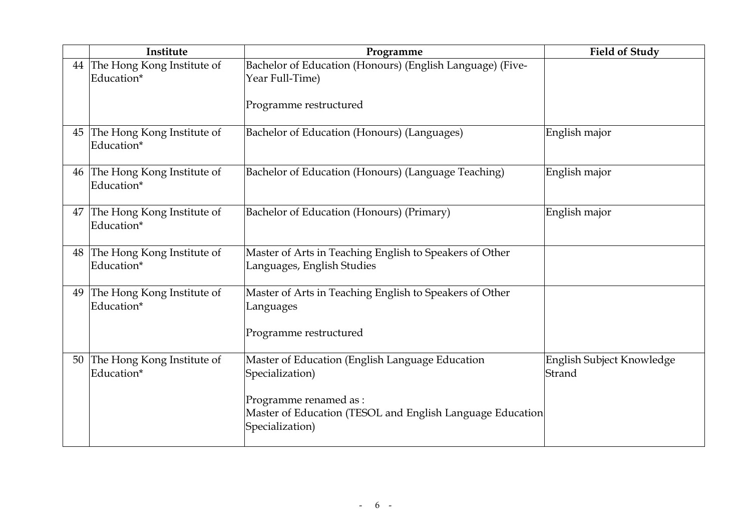|    | Institute                                   | Programme                                                                                              | <b>Field of Study</b>               |
|----|---------------------------------------------|--------------------------------------------------------------------------------------------------------|-------------------------------------|
|    | 44 The Hong Kong Institute of<br>Education* | Bachelor of Education (Honours) (English Language) (Five-<br>Year Full-Time)                           |                                     |
|    |                                             | Programme restructured                                                                                 |                                     |
| 45 | The Hong Kong Institute of<br>Education*    | Bachelor of Education (Honours) (Languages)                                                            | English major                       |
| 46 | The Hong Kong Institute of<br>Education*    | Bachelor of Education (Honours) (Language Teaching)                                                    | English major                       |
| 47 | The Hong Kong Institute of<br>Education*    | Bachelor of Education (Honours) (Primary)                                                              | English major                       |
|    | 48 The Hong Kong Institute of<br>Education* | Master of Arts in Teaching English to Speakers of Other<br>Languages, English Studies                  |                                     |
| 49 | The Hong Kong Institute of<br>Education*    | Master of Arts in Teaching English to Speakers of Other<br>Languages                                   |                                     |
|    |                                             | Programme restructured                                                                                 |                                     |
|    | 50 The Hong Kong Institute of<br>Education* | Master of Education (English Language Education<br>Specialization)                                     | English Subject Knowledge<br>Strand |
|    |                                             | Programme renamed as :<br>Master of Education (TESOL and English Language Education<br>Specialization) |                                     |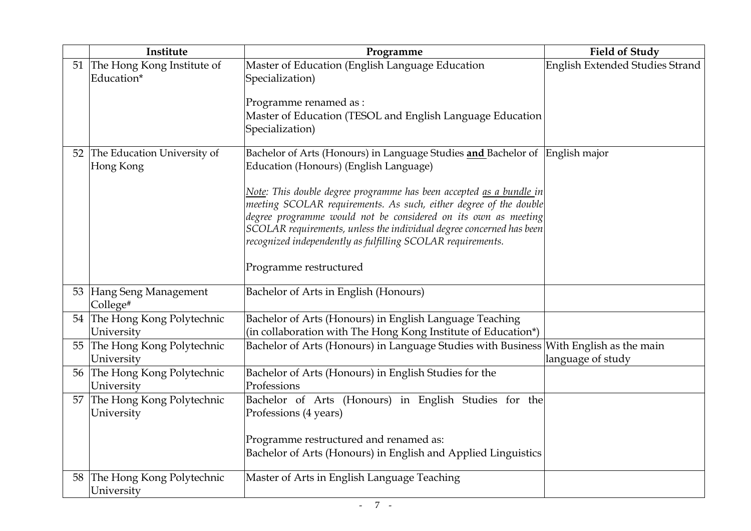|    | Institute                                   | Programme                                                                                                                                                                                                                                                                                                                                         | <b>Field of Study</b>           |
|----|---------------------------------------------|---------------------------------------------------------------------------------------------------------------------------------------------------------------------------------------------------------------------------------------------------------------------------------------------------------------------------------------------------|---------------------------------|
|    | 51 The Hong Kong Institute of<br>Education* | Master of Education (English Language Education<br>Specialization)                                                                                                                                                                                                                                                                                | English Extended Studies Strand |
|    |                                             | Programme renamed as :<br>Master of Education (TESOL and English Language Education<br>Specialization)                                                                                                                                                                                                                                            |                                 |
|    | 52 The Education University of<br>Hong Kong | Bachelor of Arts (Honours) in Language Studies and Bachelor of English major<br>Education (Honours) (English Language)                                                                                                                                                                                                                            |                                 |
|    |                                             | Note: This double degree programme has been accepted as a bundle in<br>meeting SCOLAR requirements. As such, either degree of the double<br>degree programme would not be considered on its own as meeting<br>SCOLAR requirements, unless the individual degree concerned has been<br>recognized independently as fulfilling SCOLAR requirements. |                                 |
|    |                                             | Programme restructured                                                                                                                                                                                                                                                                                                                            |                                 |
|    | 53 Hang Seng Management<br>College#         | Bachelor of Arts in English (Honours)                                                                                                                                                                                                                                                                                                             |                                 |
| 54 | The Hong Kong Polytechnic<br>University     | Bachelor of Arts (Honours) in English Language Teaching<br>(in collaboration with The Hong Kong Institute of Education*)                                                                                                                                                                                                                          |                                 |
| 55 | The Hong Kong Polytechnic<br>University     | Bachelor of Arts (Honours) in Language Studies with Business With English as the main                                                                                                                                                                                                                                                             | language of study               |
| 56 | The Hong Kong Polytechnic<br>University     | Bachelor of Arts (Honours) in English Studies for the<br>Professions                                                                                                                                                                                                                                                                              |                                 |
| 57 | The Hong Kong Polytechnic<br>University     | Bachelor of Arts (Honours) in English Studies for the<br>Professions (4 years)                                                                                                                                                                                                                                                                    |                                 |
|    |                                             | Programme restructured and renamed as:<br>Bachelor of Arts (Honours) in English and Applied Linguistics                                                                                                                                                                                                                                           |                                 |
| 58 | The Hong Kong Polytechnic<br>University     | Master of Arts in English Language Teaching                                                                                                                                                                                                                                                                                                       |                                 |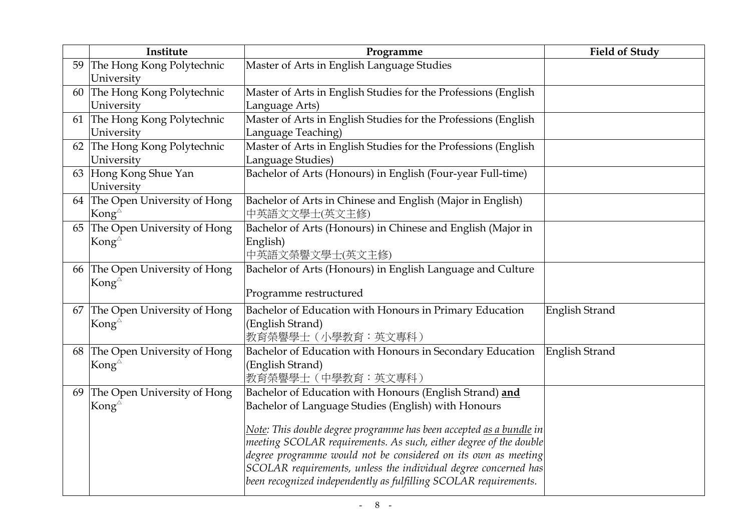|    | Institute                      | Programme                                                                  | <b>Field of Study</b> |
|----|--------------------------------|----------------------------------------------------------------------------|-----------------------|
| 59 | The Hong Kong Polytechnic      | Master of Arts in English Language Studies                                 |                       |
|    | University                     |                                                                            |                       |
| 60 | The Hong Kong Polytechnic      | Master of Arts in English Studies for the Professions (English             |                       |
|    | University                     | Language Arts)                                                             |                       |
|    | 61 The Hong Kong Polytechnic   | Master of Arts in English Studies for the Professions (English             |                       |
|    | University                     | Language Teaching)                                                         |                       |
|    | 62 The Hong Kong Polytechnic   | Master of Arts in English Studies for the Professions (English             |                       |
|    | University                     | Language Studies)                                                          |                       |
|    | 63 Hong Kong Shue Yan          | Bachelor of Arts (Honours) in English (Four-year Full-time)                |                       |
|    | University                     |                                                                            |                       |
|    | 64 The Open University of Hong | Bachelor of Arts in Chinese and English (Major in English)                 |                       |
|    | Kong $^{\triangle}$            | 中英語文文學士(英文主修)                                                              |                       |
|    | 65 The Open University of Hong | Bachelor of Arts (Honours) in Chinese and English (Major in                |                       |
|    | Kong $^{\triangle}$            | English)                                                                   |                       |
|    |                                | 中英語文榮譽文學士(英文主修)                                                            |                       |
|    | 66 The Open University of Hong | Bachelor of Arts (Honours) in English Language and Culture                 |                       |
|    | Kong $^{\circ}$                |                                                                            |                       |
|    |                                | Programme restructured                                                     |                       |
| 67 | The Open University of Hong    | Bachelor of Education with Honours in Primary Education                    | <b>English Strand</b> |
|    | Kong $^{\triangle}$            | (English Strand)                                                           |                       |
|    |                                | 教育榮譽學士 (小學教育:英文專科)                                                         |                       |
| 68 | The Open University of Hong    | Bachelor of Education with Honours in Secondary Education                  | English Strand        |
|    | Kong $^{\triangle}$            | (English Strand)                                                           |                       |
|    |                                | 教育榮譽學士 (中學教育:英文專科)                                                         |                       |
|    | 69 The Open University of Hong | Bachelor of Education with Honours (English Strand) and                    |                       |
|    | Kong $^{\triangle}$            | Bachelor of Language Studies (English) with Honours                        |                       |
|    |                                | Note: This double degree programme has been accepted <u>as a bundle</u> in |                       |
|    |                                | meeting SCOLAR requirements. As such, either degree of the double          |                       |
|    |                                | degree programme would not be considered on its own as meeting             |                       |
|    |                                | SCOLAR requirements, unless the individual degree concerned has            |                       |
|    |                                | been recognized independently as fulfilling SCOLAR requirements.           |                       |
|    |                                |                                                                            |                       |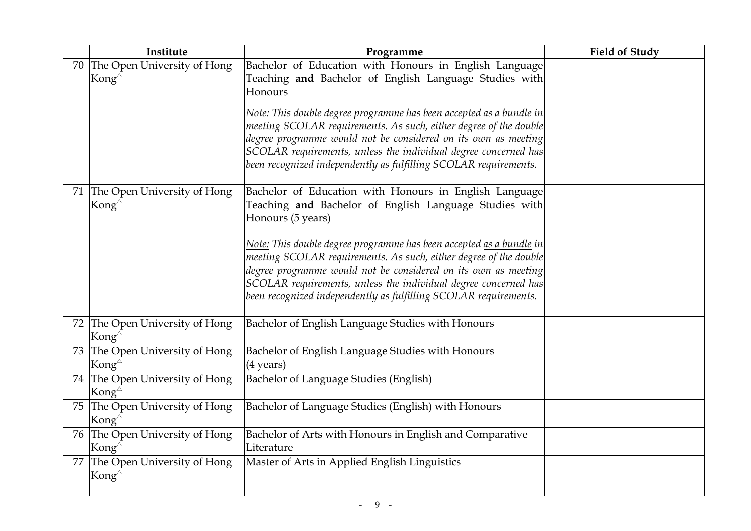|    | Institute                                                | Programme                                                                                                                         | <b>Field of Study</b> |
|----|----------------------------------------------------------|-----------------------------------------------------------------------------------------------------------------------------------|-----------------------|
| 70 | The Open University of Hong                              | Bachelor of Education with Honours in English Language                                                                            |                       |
|    | Kong $^{\triangle}$                                      | Teaching and Bachelor of English Language Studies with                                                                            |                       |
|    |                                                          | Honours                                                                                                                           |                       |
|    |                                                          | Note: This double degree programme has been accepted <u>as a bundle</u> in                                                        |                       |
|    |                                                          | meeting SCOLAR requirements. As such, either degree of the double                                                                 |                       |
|    |                                                          | degree programme would not be considered on its own as meeting<br>SCOLAR requirements, unless the individual degree concerned has |                       |
|    |                                                          | been recognized independently as fulfilling SCOLAR requirements.                                                                  |                       |
|    |                                                          |                                                                                                                                   |                       |
|    | 71 The Open University of Hong                           | Bachelor of Education with Honours in English Language                                                                            |                       |
|    | Kong $^{\triangle}$                                      | Teaching <b>and</b> Bachelor of English Language Studies with                                                                     |                       |
|    |                                                          | Honours (5 years)                                                                                                                 |                       |
|    |                                                          | Note: This double degree programme has been accepted <u>as a bundle</u> in                                                        |                       |
|    |                                                          | meeting SCOLAR requirements. As such, either degree of the double                                                                 |                       |
|    |                                                          | degree programme would not be considered on its own as meeting                                                                    |                       |
|    |                                                          | SCOLAR requirements, unless the individual degree concerned has                                                                   |                       |
|    |                                                          | been recognized independently as fulfilling SCOLAR requirements.                                                                  |                       |
|    | 72 The Open University of Hong                           | Bachelor of English Language Studies with Honours                                                                                 |                       |
|    | Kong $^{\triangle}$                                      |                                                                                                                                   |                       |
|    | 73 The Open University of Hong                           | Bachelor of English Language Studies with Honours                                                                                 |                       |
|    | Kong $^{\triangle}$                                      | $(4 \text{ years})$                                                                                                               |                       |
|    | 74 The Open University of Hong<br>Kong $^{\vartriangle}$ | Bachelor of Language Studies (English)                                                                                            |                       |
|    | 75 The Open University of Hong                           | Bachelor of Language Studies (English) with Honours                                                                               |                       |
|    | Kong $^{\triangle}$                                      |                                                                                                                                   |                       |
|    | 76 The Open University of Hong                           | Bachelor of Arts with Honours in English and Comparative                                                                          |                       |
|    | Kong $^{\triangle}$                                      | Literature                                                                                                                        |                       |
| 77 | The Open University of Hong                              | Master of Arts in Applied English Linguistics                                                                                     |                       |
|    | Kong $^{\triangle}$                                      |                                                                                                                                   |                       |
|    |                                                          |                                                                                                                                   |                       |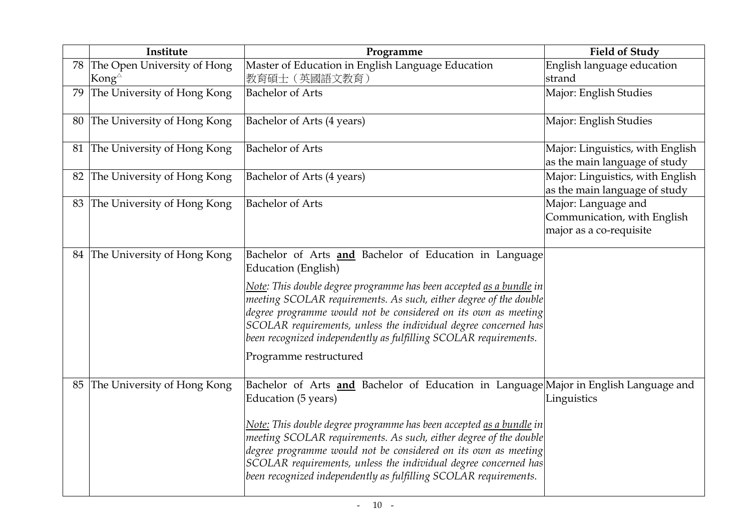|    | Institute                                             | Programme                                                                                                                                                                                                                                                                                                                                                                                                                                                               | <b>Field of Study</b>                                                         |
|----|-------------------------------------------------------|-------------------------------------------------------------------------------------------------------------------------------------------------------------------------------------------------------------------------------------------------------------------------------------------------------------------------------------------------------------------------------------------------------------------------------------------------------------------------|-------------------------------------------------------------------------------|
|    | 78 The Open University of Hong<br>Kong $^{\triangle}$ | Master of Education in English Language Education<br>教育碩士 (英國語文教育)                                                                                                                                                                                                                                                                                                                                                                                                      | English language education<br>strand                                          |
| 79 | The University of Hong Kong                           | <b>Bachelor of Arts</b>                                                                                                                                                                                                                                                                                                                                                                                                                                                 | Major: English Studies                                                        |
| 80 | The University of Hong Kong                           | Bachelor of Arts (4 years)                                                                                                                                                                                                                                                                                                                                                                                                                                              | Major: English Studies                                                        |
| 81 | The University of Hong Kong                           | <b>Bachelor of Arts</b>                                                                                                                                                                                                                                                                                                                                                                                                                                                 | Major: Linguistics, with English<br>as the main language of study             |
| 82 | The University of Hong Kong                           | Bachelor of Arts (4 years)                                                                                                                                                                                                                                                                                                                                                                                                                                              | Major: Linguistics, with English<br>as the main language of study             |
|    | 83 The University of Hong Kong                        | <b>Bachelor of Arts</b>                                                                                                                                                                                                                                                                                                                                                                                                                                                 | Major: Language and<br>Communication, with English<br>major as a co-requisite |
|    | 84 The University of Hong Kong                        | Bachelor of Arts <b>and</b> Bachelor of Education in Language<br>Education (English)<br>Note: This double degree programme has been accepted as a bundle in<br>meeting SCOLAR requirements. As such, either degree of the double<br>degree programme would not be considered on its own as meeting<br>SCOLAR requirements, unless the individual degree concerned has<br>been recognized independently as fulfilling SCOLAR requirements.<br>Programme restructured     |                                                                               |
|    | 85 The University of Hong Kong                        | Bachelor of Arts and Bachelor of Education in Language Major in English Language and<br>Education (5 years)<br>Note: This double degree programme has been accepted <u>as a bundle</u> in<br>meeting SCOLAR requirements. As such, either degree of the double<br>degree programme would not be considered on its own as meeting<br>SCOLAR requirements, unless the individual degree concerned has<br>been recognized independently as fulfilling SCOLAR requirements. | Linguistics                                                                   |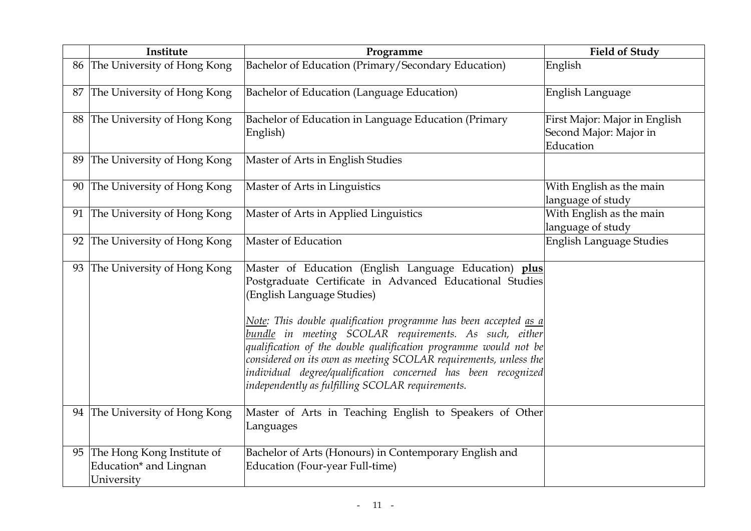|    | Institute                                                                         | Programme                                                                                                                                                                                                                                                                                                                                                                                                                                                                                                                                         | <b>Field of Study</b>                                                |
|----|-----------------------------------------------------------------------------------|---------------------------------------------------------------------------------------------------------------------------------------------------------------------------------------------------------------------------------------------------------------------------------------------------------------------------------------------------------------------------------------------------------------------------------------------------------------------------------------------------------------------------------------------------|----------------------------------------------------------------------|
|    | 86 The University of Hong Kong                                                    | Bachelor of Education (Primary/Secondary Education)                                                                                                                                                                                                                                                                                                                                                                                                                                                                                               | English                                                              |
| 87 | The University of Hong Kong                                                       | Bachelor of Education (Language Education)                                                                                                                                                                                                                                                                                                                                                                                                                                                                                                        | English Language                                                     |
|    | 88 The University of Hong Kong                                                    | Bachelor of Education in Language Education (Primary<br>English)                                                                                                                                                                                                                                                                                                                                                                                                                                                                                  | First Major: Major in English<br>Second Major: Major in<br>Education |
|    | 89 The University of Hong Kong                                                    | Master of Arts in English Studies                                                                                                                                                                                                                                                                                                                                                                                                                                                                                                                 |                                                                      |
|    | 90 The University of Hong Kong                                                    | Master of Arts in Linguistics                                                                                                                                                                                                                                                                                                                                                                                                                                                                                                                     | With English as the main<br>language of study                        |
|    | 91 The University of Hong Kong                                                    | Master of Arts in Applied Linguistics                                                                                                                                                                                                                                                                                                                                                                                                                                                                                                             | With English as the main<br>language of study                        |
| 92 | The University of Hong Kong                                                       | <b>Master of Education</b>                                                                                                                                                                                                                                                                                                                                                                                                                                                                                                                        | English Language Studies                                             |
|    | 93 The University of Hong Kong                                                    | Master of Education (English Language Education) plus<br>Postgraduate Certificate in Advanced Educational Studies<br>(English Language Studies)<br>Note: This double qualification programme has been accepted <u>as a</u><br>bundle in meeting SCOLAR requirements. As such, either<br>qualification of the double qualification programme would not be<br>considered on its own as meeting SCOLAR requirements, unless the<br>individual degree/qualification concerned has been recognized<br>independently as fulfilling SCOLAR requirements. |                                                                      |
|    | 94 The University of Hong Kong                                                    | Master of Arts in Teaching English to Speakers of Other<br>Languages                                                                                                                                                                                                                                                                                                                                                                                                                                                                              |                                                                      |
|    | 95 The Hong Kong Institute of<br>Education <sup>*</sup> and Lingnan<br>University | Bachelor of Arts (Honours) in Contemporary English and<br>Education (Four-year Full-time)                                                                                                                                                                                                                                                                                                                                                                                                                                                         |                                                                      |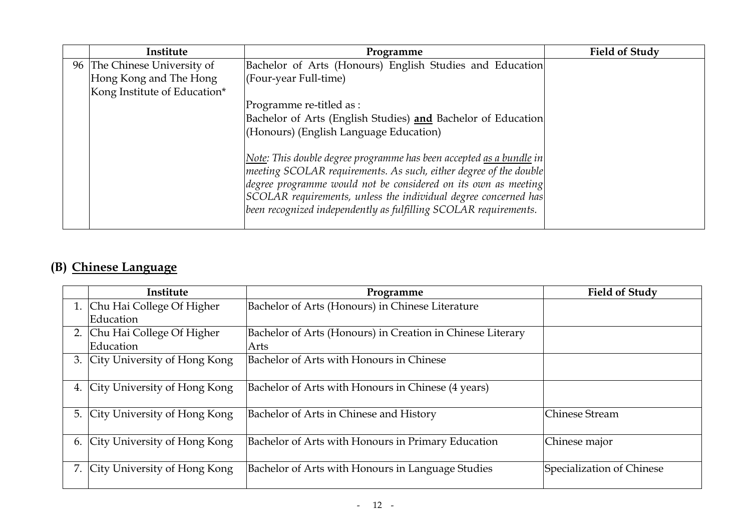| Institute                    | Programme                                                           | <b>Field of Study</b> |
|------------------------------|---------------------------------------------------------------------|-----------------------|
| 96 The Chinese University of | Bachelor of Arts (Honours) English Studies and Education            |                       |
| Hong Kong and The Hong       | $ $ (Four-year Full-time)                                           |                       |
| Kong Institute of Education* |                                                                     |                       |
|                              | Programme re-titled as :                                            |                       |
|                              | Bachelor of Arts (English Studies) and Bachelor of Education        |                       |
|                              | (Honours) (English Language Education)                              |                       |
|                              |                                                                     |                       |
|                              | Note: This double degree programme has been accepted as a bundle in |                       |
|                              | meeting SCOLAR requirements. As such, either degree of the double   |                       |
|                              | degree programme would not be considered on its own as meeting      |                       |
|                              | SCOLAR requirements, unless the individual degree concerned has     |                       |
|                              | been recognized independently as fulfilling SCOLAR requirements.    |                       |
|                              |                                                                     |                       |

# (B) Chinese Language

|    | Institute                       | Programme                                                  | <b>Field of Study</b>     |
|----|---------------------------------|------------------------------------------------------------|---------------------------|
|    | 1. Chu Hai College Of Higher    | Bachelor of Arts (Honours) in Chinese Literature           |                           |
|    | Education                       |                                                            |                           |
|    | 2. Chu Hai College Of Higher    | Bachelor of Arts (Honours) in Creation in Chinese Literary |                           |
|    | Education                       | Arts                                                       |                           |
|    | 3. City University of Hong Kong | Bachelor of Arts with Honours in Chinese                   |                           |
|    | 4. City University of Hong Kong | Bachelor of Arts with Honours in Chinese (4 years)         |                           |
| 5. | City University of Hong Kong    | Bachelor of Arts in Chinese and History                    | Chinese Stream            |
| 6. | City University of Hong Kong    | Bachelor of Arts with Honours in Primary Education         | Chinese major             |
|    | 7. City University of Hong Kong | Bachelor of Arts with Honours in Language Studies          | Specialization of Chinese |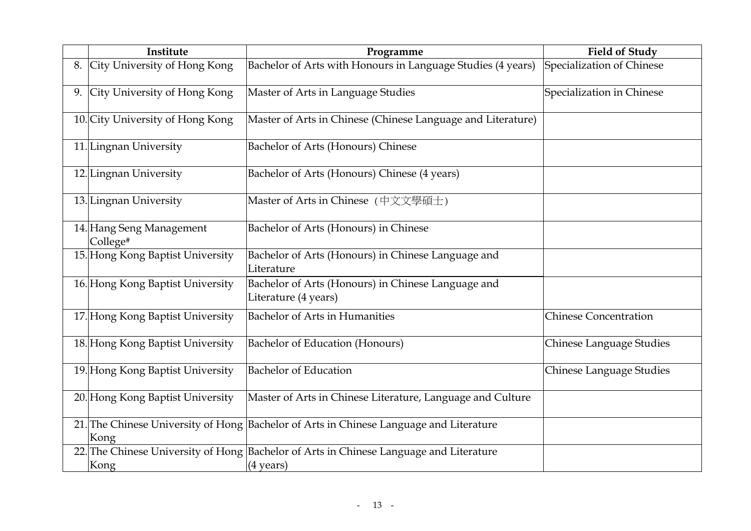|    | Institute                            | Programme                                                                                                     | <b>Field of Study</b>        |
|----|--------------------------------------|---------------------------------------------------------------------------------------------------------------|------------------------------|
| 8. | City University of Hong Kong         | Bachelor of Arts with Honours in Language Studies (4 years)                                                   | Specialization of Chinese    |
|    | 9. City University of Hong Kong      | Master of Arts in Language Studies                                                                            | Specialization in Chinese    |
|    | 10. City University of Hong Kong     | Master of Arts in Chinese (Chinese Language and Literature)                                                   |                              |
|    | 11. Lingnan University               | <b>Bachelor of Arts (Honours) Chinese</b>                                                                     |                              |
|    | 12. Lingnan University               | Bachelor of Arts (Honours) Chinese (4 years)                                                                  |                              |
|    | 13. Lingnan University               | Master of Arts in Chinese (中文文學碩士)                                                                            |                              |
|    | 14. Hang Seng Management<br>College# | Bachelor of Arts (Honours) in Chinese                                                                         |                              |
|    | 15. Hong Kong Baptist University     | Bachelor of Arts (Honours) in Chinese Language and<br>Literature                                              |                              |
|    | 16. Hong Kong Baptist University     | Bachelor of Arts (Honours) in Chinese Language and<br>Literature (4 years)                                    |                              |
|    | 17. Hong Kong Baptist University     | <b>Bachelor of Arts in Humanities</b>                                                                         | <b>Chinese Concentration</b> |
|    | 18. Hong Kong Baptist University     | Bachelor of Education (Honours)                                                                               | Chinese Language Studies     |
|    | 19. Hong Kong Baptist University     | <b>Bachelor of Education</b>                                                                                  | Chinese Language Studies     |
|    | 20. Hong Kong Baptist University     | Master of Arts in Chinese Literature, Language and Culture                                                    |                              |
|    | Kong                                 | 21. The Chinese University of Hong Bachelor of Arts in Chinese Language and Literature                        |                              |
|    | Kong                                 | 22. The Chinese University of Hong Bachelor of Arts in Chinese Language and Literature<br>$(4 \text{ years})$ |                              |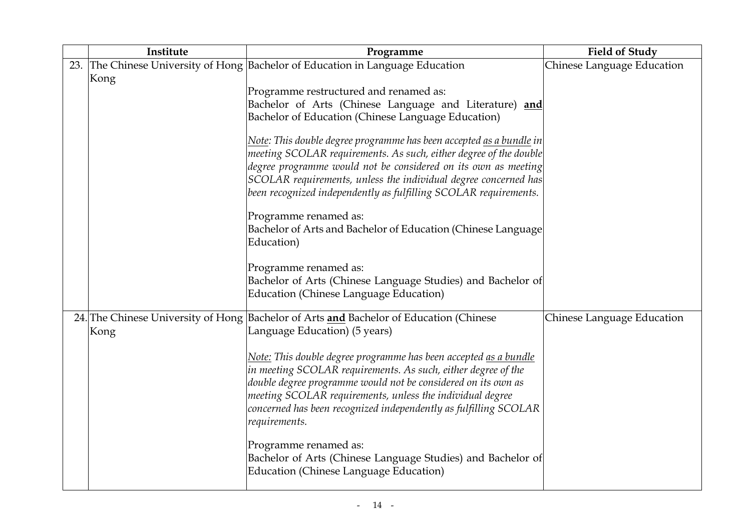| Institute | Programme                                                                                                                                                                                                                                                                                                                                                                                                                                                                                                                                                                                                                | <b>Field of Study</b>      |
|-----------|--------------------------------------------------------------------------------------------------------------------------------------------------------------------------------------------------------------------------------------------------------------------------------------------------------------------------------------------------------------------------------------------------------------------------------------------------------------------------------------------------------------------------------------------------------------------------------------------------------------------------|----------------------------|
|           | 23. The Chinese University of Hong Bachelor of Education in Language Education                                                                                                                                                                                                                                                                                                                                                                                                                                                                                                                                           | Chinese Language Education |
| Kong      | Programme restructured and renamed as:<br>Bachelor of Arts (Chinese Language and Literature) and<br>Bachelor of Education (Chinese Language Education)<br>Note: This double degree programme has been accepted <u>as a bundle</u> in<br>meeting SCOLAR requirements. As such, either degree of the double<br>degree programme would not be considered on its own as meeting<br>SCOLAR requirements, unless the individual degree concerned has                                                                                                                                                                           |                            |
|           | been recognized independently as fulfilling SCOLAR requirements.<br>Programme renamed as:<br>Bachelor of Arts and Bachelor of Education (Chinese Language<br>Education)<br>Programme renamed as:<br>Bachelor of Arts (Chinese Language Studies) and Bachelor of<br><b>Education (Chinese Language Education)</b>                                                                                                                                                                                                                                                                                                         |                            |
| Kong      | 24. The Chinese University of Hong Bachelor of Arts and Bachelor of Education (Chinese<br>Language Education) (5 years)<br>Note: This double degree programme has been accepted as a bundle<br>in meeting SCOLAR requirements. As such, either degree of the<br>double degree programme would not be considered on its own as<br>meeting SCOLAR requirements, unless the individual degree<br>concerned has been recognized independently as fulfilling SCOLAR<br>requirements.<br>Programme renamed as:<br>Bachelor of Arts (Chinese Language Studies) and Bachelor of<br><b>Education (Chinese Language Education)</b> | Chinese Language Education |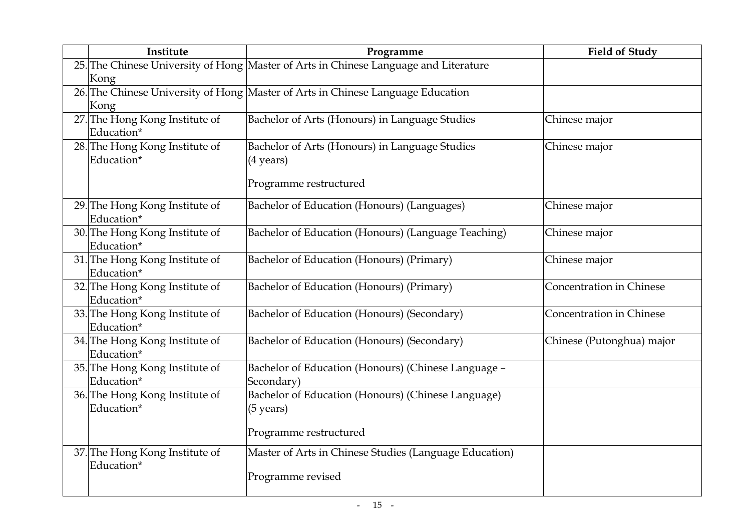| Institute                                    | Programme                                                                                           | <b>Field of Study</b>     |
|----------------------------------------------|-----------------------------------------------------------------------------------------------------|---------------------------|
| Kong                                         | 25. The Chinese University of Hong Master of Arts in Chinese Language and Literature                |                           |
| Kong                                         | 26. The Chinese University of Hong Master of Arts in Chinese Language Education                     |                           |
| 27. The Hong Kong Institute of<br>Education* | Bachelor of Arts (Honours) in Language Studies                                                      | Chinese major             |
| 28. The Hong Kong Institute of<br>Education* | Bachelor of Arts (Honours) in Language Studies<br>$(4 \text{ years})$<br>Programme restructured     | Chinese major             |
| 29. The Hong Kong Institute of<br>Education* | Bachelor of Education (Honours) (Languages)                                                         | Chinese major             |
| 30. The Hong Kong Institute of<br>Education* | Bachelor of Education (Honours) (Language Teaching)                                                 | Chinese major             |
| 31. The Hong Kong Institute of<br>Education* | Bachelor of Education (Honours) (Primary)                                                           | Chinese major             |
| 32. The Hong Kong Institute of<br>Education* | Bachelor of Education (Honours) (Primary)                                                           | Concentration in Chinese  |
| 33. The Hong Kong Institute of<br>Education* | Bachelor of Education (Honours) (Secondary)                                                         | Concentration in Chinese  |
| 34. The Hong Kong Institute of<br>Education* | Bachelor of Education (Honours) (Secondary)                                                         | Chinese (Putonghua) major |
| 35. The Hong Kong Institute of<br>Education* | Bachelor of Education (Honours) (Chinese Language -<br>Secondary)                                   |                           |
| 36. The Hong Kong Institute of<br>Education* | Bachelor of Education (Honours) (Chinese Language)<br>$(5 \text{ years})$<br>Programme restructured |                           |
| 37. The Hong Kong Institute of<br>Education* | Master of Arts in Chinese Studies (Language Education)<br>Programme revised                         |                           |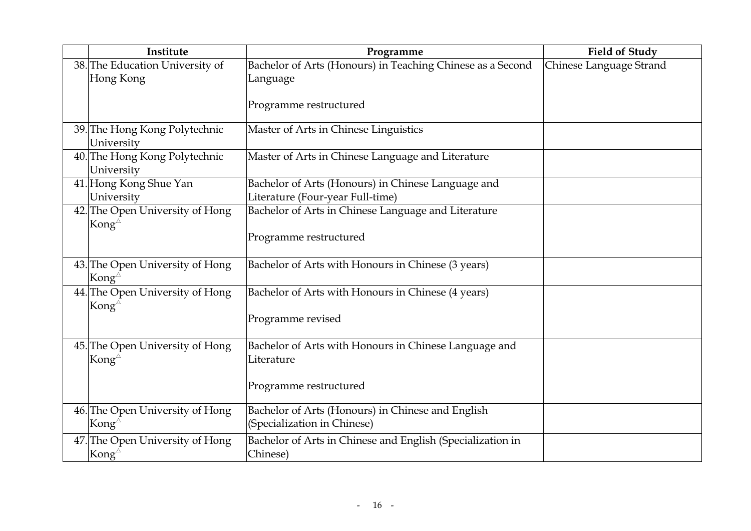| Institute                                                 | Programme                                                                              | <b>Field of Study</b>   |
|-----------------------------------------------------------|----------------------------------------------------------------------------------------|-------------------------|
| 38. The Education University of                           | Bachelor of Arts (Honours) in Teaching Chinese as a Second                             | Chinese Language Strand |
| Hong Kong                                                 | Language                                                                               |                         |
|                                                           | Programme restructured                                                                 |                         |
| 39. The Hong Kong Polytechnic<br>University               | Master of Arts in Chinese Linguistics                                                  |                         |
| 40. The Hong Kong Polytechnic<br>University               | Master of Arts in Chinese Language and Literature                                      |                         |
| 41. Hong Kong Shue Yan<br>University                      | Bachelor of Arts (Honours) in Chinese Language and<br>Literature (Four-year Full-time) |                         |
| 42. The Open University of Hong<br>Kong $^{\triangle}$    | Bachelor of Arts in Chinese Language and Literature                                    |                         |
|                                                           | Programme restructured                                                                 |                         |
| 43. The Open University of Hong<br>Kong $^{\vartriangle}$ | Bachelor of Arts with Honours in Chinese (3 years)                                     |                         |
| 44. The Open University of Hong<br>Kong $^{\triangle}$    | Bachelor of Arts with Honours in Chinese (4 years)                                     |                         |
|                                                           | Programme revised                                                                      |                         |
| 45. The Open University of Hong<br>Kong $^{\triangle}$    | Bachelor of Arts with Honours in Chinese Language and<br>Literature                    |                         |
|                                                           |                                                                                        |                         |
|                                                           | Programme restructured                                                                 |                         |
| 46. The Open University of Hong<br>Kong $^{\vartriangle}$ | Bachelor of Arts (Honours) in Chinese and English<br>(Specialization in Chinese)       |                         |
| 47. The Open University of Hong<br>Kong $^{\vartriangle}$ | Bachelor of Arts in Chinese and English (Specialization in<br>Chinese)                 |                         |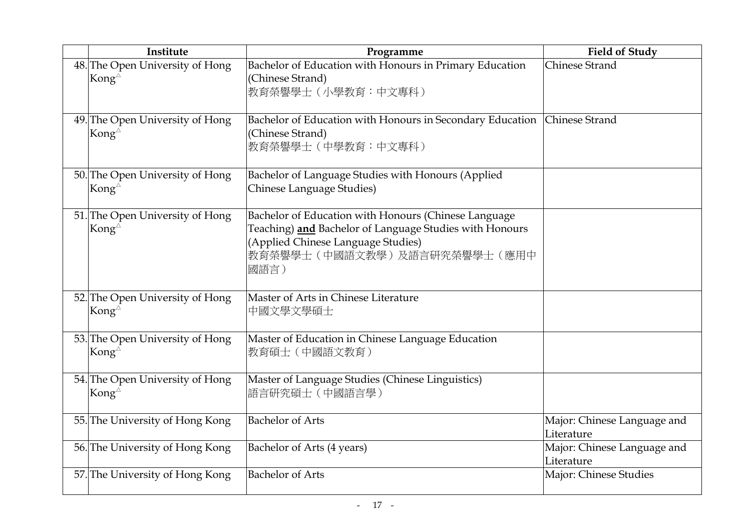| Institute                                                 | Programme                                                                                                                                                                                    | <b>Field of Study</b>                     |
|-----------------------------------------------------------|----------------------------------------------------------------------------------------------------------------------------------------------------------------------------------------------|-------------------------------------------|
| 48. The Open University of Hong<br>Kong $^{\triangle}$    | Bachelor of Education with Honours in Primary Education<br>(Chinese Strand)<br>教育榮譽學士(小學教育:中文專科)                                                                                             | Chinese Strand                            |
| 49. The Open University of Hong<br>Kong $^{\vartriangle}$ | Bachelor of Education with Honours in Secondary Education Chinese Strand<br>(Chinese Strand)<br>教育榮譽學士 (中學教育:中文專科)                                                                           |                                           |
| 50. The Open University of Hong<br>Kong $^{\vartriangle}$ | Bachelor of Language Studies with Honours (Applied<br>Chinese Language Studies)                                                                                                              |                                           |
| 51. The Open University of Hong<br>Kong $^{\triangle}$    | Bachelor of Education with Honours (Chinese Language<br>Teaching) and Bachelor of Language Studies with Honours<br>(Applied Chinese Language Studies)<br>教育榮譽學士(中國語文教學)及語言研究榮譽學士(應用中<br>國語言) |                                           |
| 52. The Open University of Hong<br>Kong $^{\vartriangle}$ | Master of Arts in Chinese Literature<br>中國文學文學碩士                                                                                                                                             |                                           |
| 53. The Open University of Hong<br>Kong $^{\vartriangle}$ | Master of Education in Chinese Language Education<br>教育碩士 (中國語文教育)                                                                                                                           |                                           |
| 54. The Open University of Hong<br>Kong $^{\vartriangle}$ | Master of Language Studies (Chinese Linguistics)<br>語言研究碩士 (中國語言學)                                                                                                                           |                                           |
| 55. The University of Hong Kong                           | <b>Bachelor of Arts</b>                                                                                                                                                                      | Major: Chinese Language and<br>Literature |
| 56. The University of Hong Kong                           | Bachelor of Arts (4 years)                                                                                                                                                                   | Major: Chinese Language and<br>Literature |
| 57. The University of Hong Kong                           | <b>Bachelor of Arts</b>                                                                                                                                                                      | Major: Chinese Studies                    |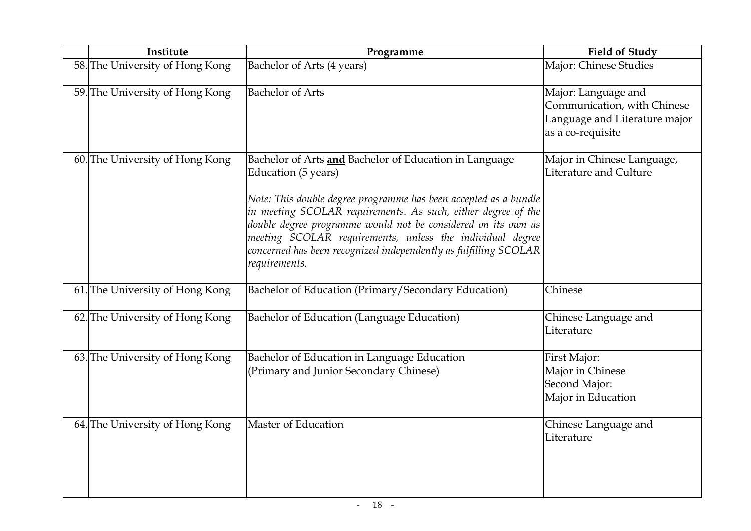| Institute                       | Programme                                                                                                                                                                                                                                                                                                                                                                                                                             | <b>Field of Study</b>                                                                                    |
|---------------------------------|---------------------------------------------------------------------------------------------------------------------------------------------------------------------------------------------------------------------------------------------------------------------------------------------------------------------------------------------------------------------------------------------------------------------------------------|----------------------------------------------------------------------------------------------------------|
| 58. The University of Hong Kong | Bachelor of Arts (4 years)                                                                                                                                                                                                                                                                                                                                                                                                            | Major: Chinese Studies                                                                                   |
| 59. The University of Hong Kong | <b>Bachelor of Arts</b>                                                                                                                                                                                                                                                                                                                                                                                                               | Major: Language and<br>Communication, with Chinese<br>Language and Literature major<br>as a co-requisite |
| 60. The University of Hong Kong | Bachelor of Arts and Bachelor of Education in Language<br>Education (5 years)<br>Note: This double degree programme has been accepted as a bundle<br>in meeting SCOLAR requirements. As such, either degree of the<br>double degree programme would not be considered on its own as<br>meeting SCOLAR requirements, unless the individual degree<br>concerned has been recognized independently as fulfilling SCOLAR<br>requirements. | Major in Chinese Language,<br>Literature and Culture                                                     |
| 61. The University of Hong Kong | Bachelor of Education (Primary/Secondary Education)                                                                                                                                                                                                                                                                                                                                                                                   | Chinese                                                                                                  |
| 62. The University of Hong Kong | Bachelor of Education (Language Education)                                                                                                                                                                                                                                                                                                                                                                                            | Chinese Language and<br>Literature                                                                       |
| 63. The University of Hong Kong | Bachelor of Education in Language Education<br>(Primary and Junior Secondary Chinese)                                                                                                                                                                                                                                                                                                                                                 | First Major:<br>Major in Chinese<br>Second Major:<br>Major in Education                                  |
| 64. The University of Hong Kong | Master of Education                                                                                                                                                                                                                                                                                                                                                                                                                   | Chinese Language and<br>Literature                                                                       |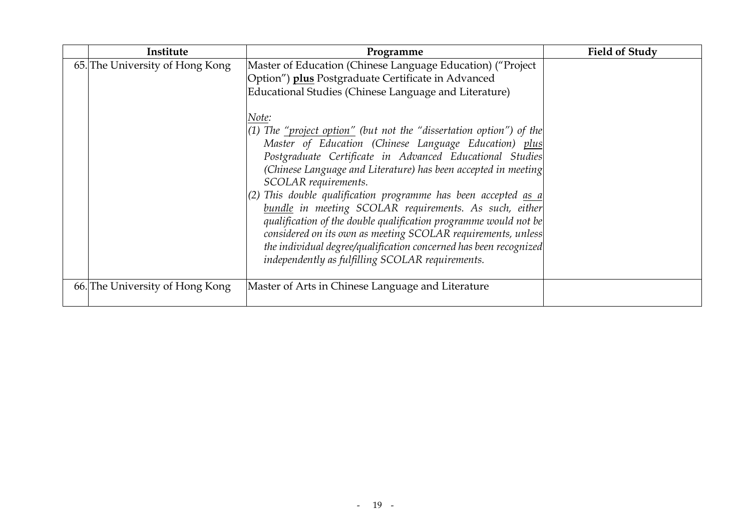| Institute                       | Programme                                                                                                                                                                                                                                                                                                                                                                                                                                                                                                                                                                                                                                                                                                                                                                                                                                                                           | <b>Field of Study</b> |
|---------------------------------|-------------------------------------------------------------------------------------------------------------------------------------------------------------------------------------------------------------------------------------------------------------------------------------------------------------------------------------------------------------------------------------------------------------------------------------------------------------------------------------------------------------------------------------------------------------------------------------------------------------------------------------------------------------------------------------------------------------------------------------------------------------------------------------------------------------------------------------------------------------------------------------|-----------------------|
| 65. The University of Hong Kong | Master of Education (Chinese Language Education) ("Project<br>Option") plus Postgraduate Certificate in Advanced<br>Educational Studies (Chinese Language and Literature)<br>Note:<br>$(1)$ The <u>"project option"</u> (but not the "dissertation option") of the<br>Master of Education (Chinese Language Education) plus<br>Postgraduate Certificate in Advanced Educational Studies<br>(Chinese Language and Literature) has been accepted in meeting<br>SCOLAR requirements.<br>$(2)$ This double qualification programme has been accepted <u>as a</u><br>bundle in meeting SCOLAR requirements. As such, either<br>qualification of the double qualification programme would not be<br>considered on its own as meeting SCOLAR requirements, unless<br>the individual degree/qualification concerned has been recognized<br>independently as fulfilling SCOLAR requirements. |                       |
| 66. The University of Hong Kong | Master of Arts in Chinese Language and Literature                                                                                                                                                                                                                                                                                                                                                                                                                                                                                                                                                                                                                                                                                                                                                                                                                                   |                       |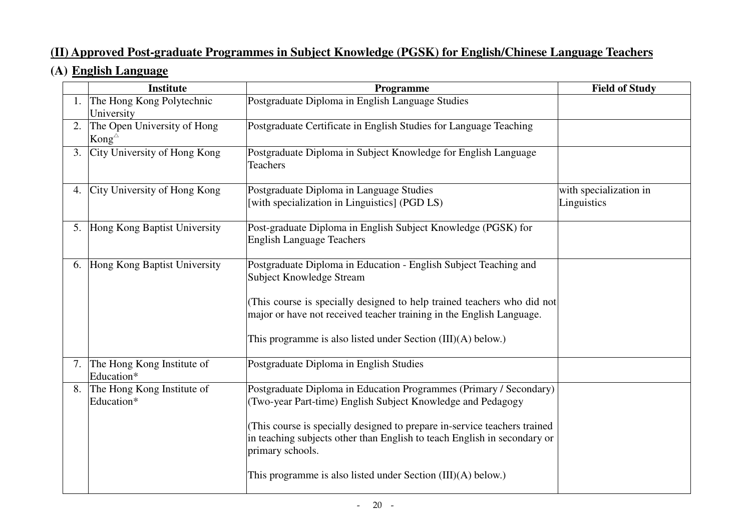# **(II) Approved Post-graduate Programmes in Subject Knowledge (PGSK) for English/Chinese Language Teachers**

# **(A) English Language**

|    | <b>Institute</b>                                   | Programme                                                                                                                                                                                                                                                                                                                                                                        | <b>Field of Study</b>                 |
|----|----------------------------------------------------|----------------------------------------------------------------------------------------------------------------------------------------------------------------------------------------------------------------------------------------------------------------------------------------------------------------------------------------------------------------------------------|---------------------------------------|
|    | 1. The Hong Kong Polytechnic<br>University         | Postgraduate Diploma in English Language Studies                                                                                                                                                                                                                                                                                                                                 |                                       |
| 2. | The Open University of Hong<br>Kong $^{\triangle}$ | Postgraduate Certificate in English Studies for Language Teaching                                                                                                                                                                                                                                                                                                                |                                       |
|    | 3. City University of Hong Kong                    | Postgraduate Diploma in Subject Knowledge for English Language<br><b>Teachers</b>                                                                                                                                                                                                                                                                                                |                                       |
|    | 4. City University of Hong Kong                    | Postgraduate Diploma in Language Studies<br>[with specialization in Linguistics] (PGD LS)                                                                                                                                                                                                                                                                                        | with specialization in<br>Linguistics |
|    | 5. Hong Kong Baptist University                    | Post-graduate Diploma in English Subject Knowledge (PGSK) for<br><b>English Language Teachers</b>                                                                                                                                                                                                                                                                                |                                       |
|    | 6. Hong Kong Baptist University                    | Postgraduate Diploma in Education - English Subject Teaching and<br>Subject Knowledge Stream<br>(This course is specially designed to help trained teachers who did not<br>major or have not received teacher training in the English Language.<br>This programme is also listed under Section $(III)(A)$ below.)                                                                |                                       |
|    | 7. The Hong Kong Institute of<br>Education*        | Postgraduate Diploma in English Studies                                                                                                                                                                                                                                                                                                                                          |                                       |
|    | 8. The Hong Kong Institute of<br>Education*        | Postgraduate Diploma in Education Programmes (Primary / Secondary)<br>(Two-year Part-time) English Subject Knowledge and Pedagogy<br>(This course is specially designed to prepare in-service teachers trained<br>in teaching subjects other than English to teach English in secondary or<br>primary schools.<br>This programme is also listed under Section $(III)(A)$ below.) |                                       |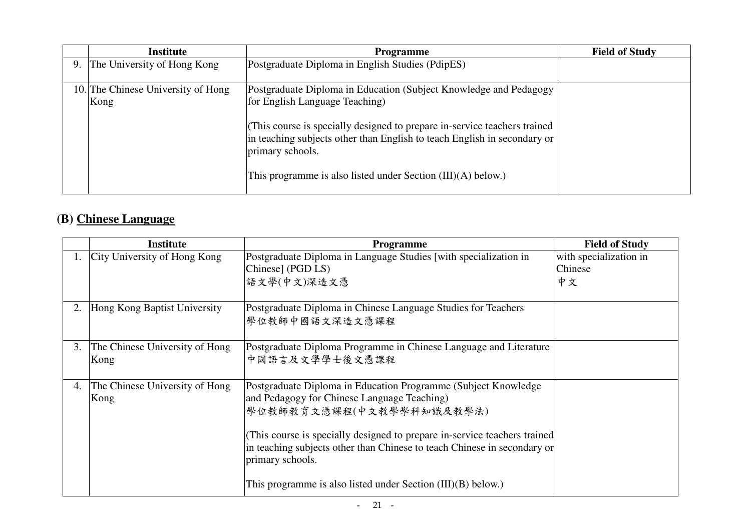| <b>Institute</b>                   | <b>Programme</b>                                                                                                                                                          | <b>Field of Study</b> |
|------------------------------------|---------------------------------------------------------------------------------------------------------------------------------------------------------------------------|-----------------------|
| 9. The University of Hong Kong     | Postgraduate Diploma in English Studies (PdipES)                                                                                                                          |                       |
|                                    |                                                                                                                                                                           |                       |
| 10. The Chinese University of Hong | Postgraduate Diploma in Education (Subject Knowledge and Pedagogy                                                                                                         |                       |
| Kong                               | for English Language Teaching)                                                                                                                                            |                       |
|                                    | (This course is specially designed to prepare in-service teachers trained<br>in teaching subjects other than English to teach English in secondary or<br>primary schools. |                       |
|                                    | This programme is also listed under Section (III)(A) below.)                                                                                                              |                       |

# **(B) Chinese Language**

|    | <b>Institute</b>                       | <b>Programme</b>                                                                                                                                                                                                                                                                                                                                                                          | <b>Field of Study</b>                   |
|----|----------------------------------------|-------------------------------------------------------------------------------------------------------------------------------------------------------------------------------------------------------------------------------------------------------------------------------------------------------------------------------------------------------------------------------------------|-----------------------------------------|
|    | 1. City University of Hong Kong        | Postgraduate Diploma in Language Studies [with specialization in<br>Chinese] (PGD LS)<br>語文學(中文)深造文憑                                                                                                                                                                                                                                                                                      | with specialization in<br>Chinese<br>中文 |
| 2. | Hong Kong Baptist University           | Postgraduate Diploma in Chinese Language Studies for Teachers<br>學位教師中國語文深造文憑課程                                                                                                                                                                                                                                                                                                           |                                         |
| 3. | The Chinese University of Hong<br>Kong | Postgraduate Diploma Programme in Chinese Language and Literature<br>中國語言及文學學士後文憑課程                                                                                                                                                                                                                                                                                                       |                                         |
| 4. | The Chinese University of Hong<br>Kong | Postgraduate Diploma in Education Programme (Subject Knowledge)<br>and Pedagogy for Chinese Language Teaching)<br>學位教師教育文憑課程(中文教學學科知識及教學法)<br>(This course is specially designed to prepare in-service teachers trained<br>in teaching subjects other than Chinese to teach Chinese in secondary or<br>primary schools.<br>This programme is also listed under Section $(III)(B)$ below.) |                                         |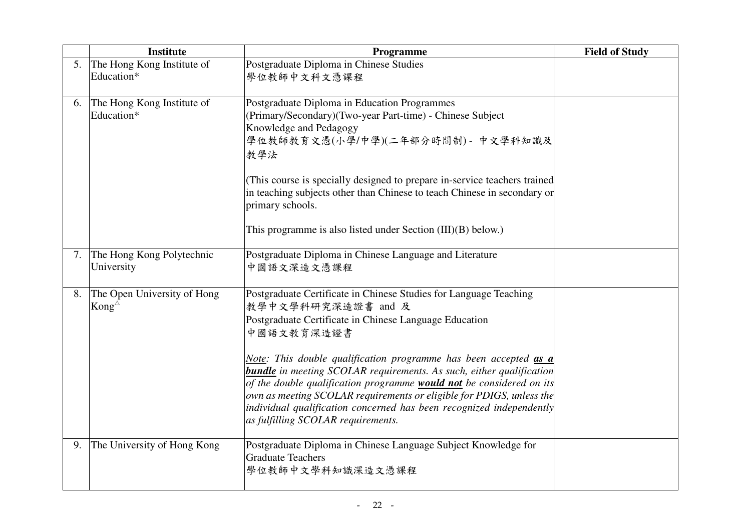|    | <b>Institute</b>                                   | Programme                                                                                                                                                                                                                                                                                                                                                                                  | <b>Field of Study</b> |
|----|----------------------------------------------------|--------------------------------------------------------------------------------------------------------------------------------------------------------------------------------------------------------------------------------------------------------------------------------------------------------------------------------------------------------------------------------------------|-----------------------|
| 5. | The Hong Kong Institute of<br>Education*           | Postgraduate Diploma in Chinese Studies<br>學位教師中文科文憑課程                                                                                                                                                                                                                                                                                                                                     |                       |
| 6. | The Hong Kong Institute of<br>Education*           | Postgraduate Diploma in Education Programmes<br>(Primary/Secondary)(Two-year Part-time) - Chinese Subject<br>Knowledge and Pedagogy<br>學位教師教育文憑(小學/中學)(二年部分時間制) - 中文學科知識及<br>教學法                                                                                                                                                                                                           |                       |
|    |                                                    | (This course is specially designed to prepare in-service teachers trained<br>in teaching subjects other than Chinese to teach Chinese in secondary or<br>primary schools.                                                                                                                                                                                                                  |                       |
|    |                                                    | This programme is also listed under Section $(III)(B)$ below.)                                                                                                                                                                                                                                                                                                                             |                       |
| 7. | The Hong Kong Polytechnic<br>University            | Postgraduate Diploma in Chinese Language and Literature<br>中國語文深造文憑課程                                                                                                                                                                                                                                                                                                                      |                       |
| 8. | The Open University of Hong<br>Kong $^{\triangle}$ | Postgraduate Certificate in Chinese Studies for Language Teaching<br>教學中文學科研究深造證書 and 及<br>Postgraduate Certificate in Chinese Language Education<br>中國語文教育深造證書<br>Note: This double qualification programme has been accepted as a<br><b>bundle</b> in meeting SCOLAR requirements. As such, either qualification<br>of the double qualification programme would not be considered on its |                       |
|    |                                                    | own as meeting SCOLAR requirements or eligible for PDIGS, unless the<br>individual qualification concerned has been recognized independently<br>as fulfilling SCOLAR requirements.                                                                                                                                                                                                         |                       |
| 9. | The University of Hong Kong                        | Postgraduate Diploma in Chinese Language Subject Knowledge for<br><b>Graduate Teachers</b><br>學位教師中文學科知識深造文憑課程                                                                                                                                                                                                                                                                             |                       |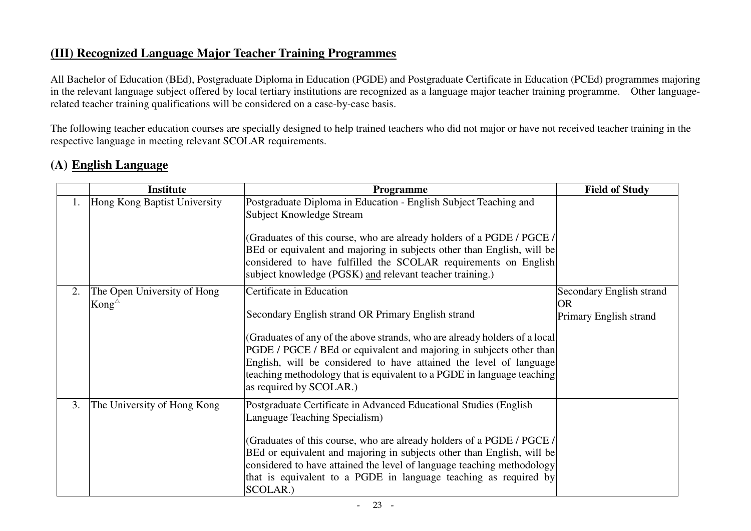#### **(III) Recognized Language Major Teacher Training Programmes**

All Bachelor of Education (BEd), Postgraduate Diploma in Education (PGDE) and Postgraduate Certificate in Education (PCEd) programmes majoring in the relevant language subject offered by local tertiary institutions are recognized as a language major teacher training programme. Other languagerelated teacher training qualifications will be considered on a case-by-case basis.

The following teacher education courses are specially designed to help trained teachers who did not major or have not received teacher training in the respective language in meeting relevant SCOLAR requirements.

# **(A) English Language**

|    | <b>Institute</b>                              | <b>Programme</b>                                                                                                                                                                                                                                                                                                                                                                                                | <b>Field of Study</b>                                           |
|----|-----------------------------------------------|-----------------------------------------------------------------------------------------------------------------------------------------------------------------------------------------------------------------------------------------------------------------------------------------------------------------------------------------------------------------------------------------------------------------|-----------------------------------------------------------------|
| 1. | Hong Kong Baptist University                  | Postgraduate Diploma in Education - English Subject Teaching and<br>Subject Knowledge Stream<br>(Graduates of this course, who are already holders of a PGDE / PGCE /<br>BEd or equivalent and majoring in subjects other than English, will be<br>considered to have fulfilled the SCOLAR requirements on English<br>subject knowledge (PGSK) and relevant teacher training.)                                  |                                                                 |
| 2. | The Open University of Hong<br>Kong $\varphi$ | Certificate in Education<br>Secondary English strand OR Primary English strand<br>(Graduates of any of the above strands, who are already holders of a local<br>PGDE / PGCE / BEd or equivalent and majoring in subjects other than<br>English, will be considered to have attained the level of language<br>teaching methodology that is equivalent to a PGDE in language teaching<br>as required by SCOLAR.)  | Secondary English strand<br><b>OR</b><br>Primary English strand |
| 3. | The University of Hong Kong                   | Postgraduate Certificate in Advanced Educational Studies (English<br>Language Teaching Specialism)<br>(Graduates of this course, who are already holders of a PGDE / PGCE /<br>BEd or equivalent and majoring in subjects other than English, will be<br>considered to have attained the level of language teaching methodology<br>that is equivalent to a PGDE in language teaching as required by<br>SCOLAR.) |                                                                 |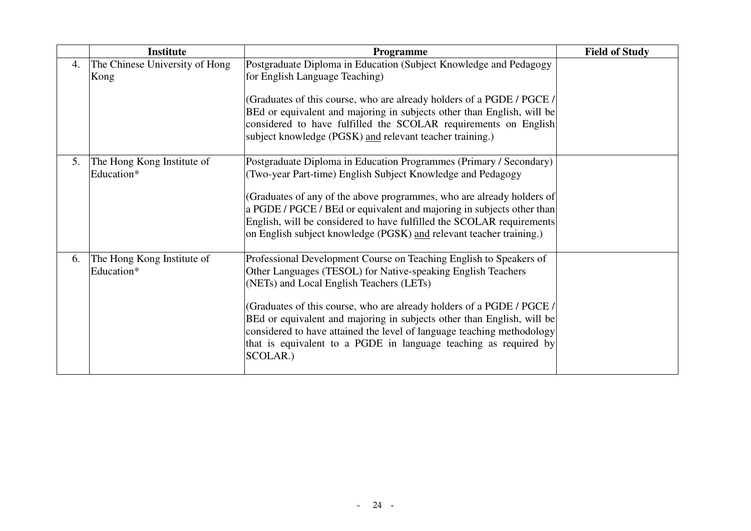|    | <b>Institute</b>                         | Programme                                                                                                                                                                                                                                                                                                                                                                                                                                                                                   | <b>Field of Study</b> |
|----|------------------------------------------|---------------------------------------------------------------------------------------------------------------------------------------------------------------------------------------------------------------------------------------------------------------------------------------------------------------------------------------------------------------------------------------------------------------------------------------------------------------------------------------------|-----------------------|
| 4. | The Chinese University of Hong<br>Kong   | Postgraduate Diploma in Education (Subject Knowledge and Pedagogy<br>for English Language Teaching)                                                                                                                                                                                                                                                                                                                                                                                         |                       |
|    |                                          | (Graduates of this course, who are already holders of a PGDE / PGCE /<br>BEd or equivalent and majoring in subjects other than English, will be<br>considered to have fulfilled the SCOLAR requirements on English<br>subject knowledge (PGSK) and relevant teacher training.)                                                                                                                                                                                                              |                       |
| 5. | The Hong Kong Institute of<br>Education* | Postgraduate Diploma in Education Programmes (Primary / Secondary)<br>(Two-year Part-time) English Subject Knowledge and Pedagogy<br>(Graduates of any of the above programmes, who are already holders of<br>a PGDE / PGCE / BEd or equivalent and majoring in subjects other than<br>English, will be considered to have fulfilled the SCOLAR requirements<br>on English subject knowledge (PGSK) and relevant teacher training.)                                                         |                       |
| 6. | The Hong Kong Institute of<br>Education* | Professional Development Course on Teaching English to Speakers of<br>Other Languages (TESOL) for Native-speaking English Teachers<br>(NETs) and Local English Teachers (LETs)<br>(Graduates of this course, who are already holders of a PGDE / PGCE /<br>BEd or equivalent and majoring in subjects other than English, will be<br>considered to have attained the level of language teaching methodology<br>that is equivalent to a PGDE in language teaching as required by<br>SCOLAR.) |                       |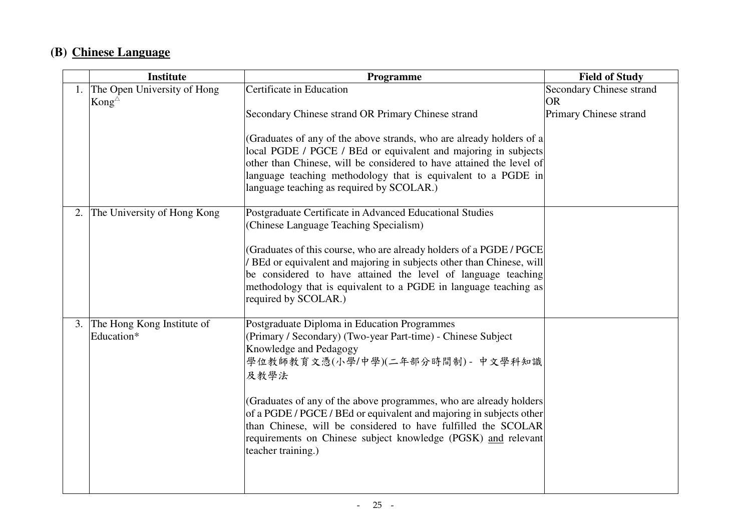# **(B) Chinese Language**

|    | <b>Institute</b>                                      | Programme                                                                                                                                                                                                                                                                                               | <b>Field of Study</b>                 |
|----|-------------------------------------------------------|---------------------------------------------------------------------------------------------------------------------------------------------------------------------------------------------------------------------------------------------------------------------------------------------------------|---------------------------------------|
|    | 1. The Open University of Hong<br>Kong $^{\triangle}$ | Certificate in Education                                                                                                                                                                                                                                                                                | Secondary Chinese strand<br><b>OR</b> |
|    |                                                       | Secondary Chinese strand OR Primary Chinese strand                                                                                                                                                                                                                                                      | Primary Chinese strand                |
|    |                                                       | (Graduates of any of the above strands, who are already holders of a<br>local PGDE / PGCE / BEd or equivalent and majoring in subjects                                                                                                                                                                  |                                       |
|    |                                                       | other than Chinese, will be considered to have attained the level of<br>language teaching methodology that is equivalent to a PGDE in<br>language teaching as required by SCOLAR.)                                                                                                                      |                                       |
| 2. | The University of Hong Kong                           | Postgraduate Certificate in Advanced Educational Studies<br>(Chinese Language Teaching Specialism)                                                                                                                                                                                                      |                                       |
|    |                                                       | (Graduates of this course, who are already holders of a PGDE / PGCE<br>BEd or equivalent and majoring in subjects other than Chinese, will<br>be considered to have attained the level of language teaching<br>methodology that is equivalent to a PGDE in language teaching as<br>required by SCOLAR.) |                                       |
| 3. | The Hong Kong Institute of<br>Education*              | Postgraduate Diploma in Education Programmes<br>(Primary / Secondary) (Two-year Part-time) - Chinese Subject<br>Knowledge and Pedagogy<br>學位教師教育文憑(小學/中學)(二年部分時間制) - 中文學科知識<br>及教學法                                                                                                                     |                                       |
|    |                                                       | (Graduates of any of the above programmes, who are already holders<br>of a PGDE / PGCE / BEd or equivalent and majoring in subjects other<br>than Chinese, will be considered to have fulfilled the SCOLAR<br>requirements on Chinese subject knowledge (PGSK) and relevant<br>teacher training.)       |                                       |